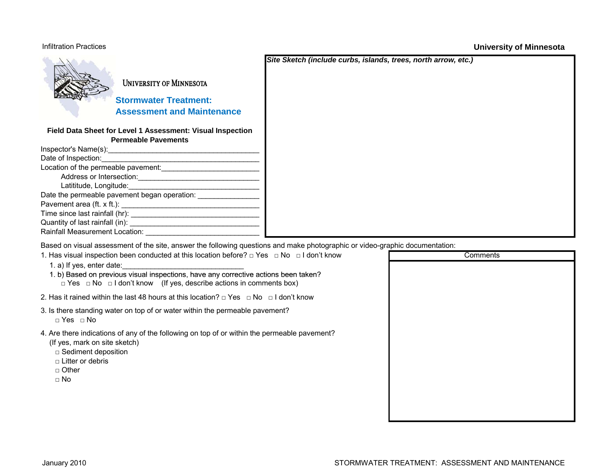## Infiltration Practices

**University of Minnesota**

|                                                                                                                                                                                                                                | Site Sketch (include curbs, islands, trees, north arrow, etc.) |
|--------------------------------------------------------------------------------------------------------------------------------------------------------------------------------------------------------------------------------|----------------------------------------------------------------|
| <b>UNIVERSITY OF MINNESOTA</b>                                                                                                                                                                                                 |                                                                |
| <b>Stormwater Treatment:</b>                                                                                                                                                                                                   |                                                                |
| <b>Assessment and Maintenance</b>                                                                                                                                                                                              |                                                                |
| Field Data Sheet for Level 1 Assessment: Visual Inspection                                                                                                                                                                     |                                                                |
| <b>Permeable Pavements</b>                                                                                                                                                                                                     |                                                                |
|                                                                                                                                                                                                                                |                                                                |
|                                                                                                                                                                                                                                |                                                                |
|                                                                                                                                                                                                                                |                                                                |
|                                                                                                                                                                                                                                |                                                                |
|                                                                                                                                                                                                                                |                                                                |
| Date the permeable pavement began operation: _________________                                                                                                                                                                 |                                                                |
|                                                                                                                                                                                                                                |                                                                |
|                                                                                                                                                                                                                                |                                                                |
|                                                                                                                                                                                                                                |                                                                |
|                                                                                                                                                                                                                                |                                                                |
| Rainfall Measurement Location: Nation And Allen Measurement Contains a state of the Measurement of the Measurement of the Measurement of the Measurement of the Measurement of the Measurement of the Measurement of the Measu |                                                                |
| Based on visual assessment of the site, answer the following questions and make photographic or video-graphic documentation:                                                                                                   |                                                                |
| 1. Has visual inspection been conducted at this location before? $\Box$ Yes $\Box$ No $\Box$ I don't know                                                                                                                      | Cor                                                            |
|                                                                                                                                                                                                                                |                                                                |

| 1. Has visual inspection been conducted at this location before? $\Box$ Yes $\Box$ No $\Box$ I don't know                                                                                                      | Comments |  |
|----------------------------------------------------------------------------------------------------------------------------------------------------------------------------------------------------------------|----------|--|
| 1. a) If yes, enter date:                                                                                                                                                                                      |          |  |
| 1. b) Based on previous visual inspections, have any corrective actions been taken?<br>$\Box$ Yes $\Box$ No $\Box$ I don't know (If yes, describe actions in comments box)                                     |          |  |
| 2. Has it rained within the last 48 hours at this location? $\Box$ Yes $\Box$ No $\Box$ I don't know                                                                                                           |          |  |
| 3. Is there standing water on top of or water within the permeable pavement?<br>$\Box$ Yes $\Box$ No                                                                                                           |          |  |
| 4. Are there indications of any of the following on top of or within the permeable pavement?<br>(If yes, mark on site sketch)<br>$\Box$ Sediment deposition<br>$\Box$ Litter or debris<br>□ Other<br>$\Box$ No |          |  |